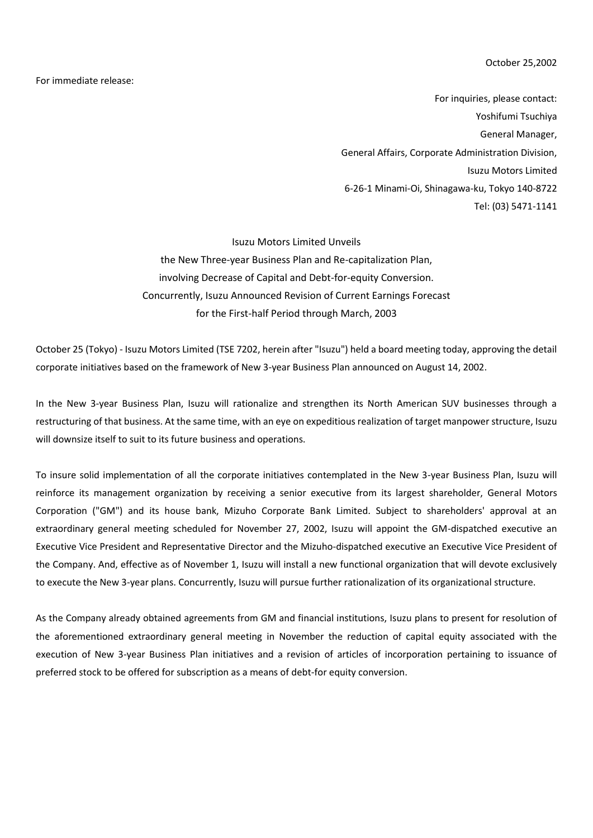October 25,2002

For immediate release:

For inquiries, please contact: Yoshifumi Tsuchiya General Manager, General Affairs, Corporate Administration Division, Isuzu Motors Limited 6-26-1 Minami-Oi, Shinagawa-ku, Tokyo 140-8722 Tel: (03) 5471-1141

Isuzu Motors Limited Unveils the New Three-year Business Plan and Re-capitalization Plan, involving Decrease of Capital and Debt-for-equity Conversion. Concurrently, Isuzu Announced Revision of Current Earnings Forecast for the First-half Period through March, 2003

October 25 (Tokyo) - Isuzu Motors Limited (TSE 7202, herein after "Isuzu") held a board meeting today, approving the detail corporate initiatives based on the framework of New 3-year Business Plan announced on August 14, 2002.

In the New 3-year Business Plan, Isuzu will rationalize and strengthen its North American SUV businesses through a restructuring of that business. At the same time, with an eye on expeditious realization of target manpower structure, Isuzu will downsize itself to suit to its future business and operations.

To insure solid implementation of all the corporate initiatives contemplated in the New 3-year Business Plan, Isuzu will reinforce its management organization by receiving a senior executive from its largest shareholder, General Motors Corporation ("GM") and its house bank, Mizuho Corporate Bank Limited. Subject to shareholders' approval at an extraordinary general meeting scheduled for November 27, 2002, Isuzu will appoint the GM-dispatched executive an Executive Vice President and Representative Director and the Mizuho-dispatched executive an Executive Vice President of the Company. And, effective as of November 1, Isuzu will install a new functional organization that will devote exclusively to execute the New 3-year plans. Concurrently, Isuzu will pursue further rationalization of its organizational structure.

As the Company already obtained agreements from GM and financial institutions, Isuzu plans to present for resolution of the aforementioned extraordinary general meeting in November the reduction of capital equity associated with the execution of New 3-year Business Plan initiatives and a revision of articles of incorporation pertaining to issuance of preferred stock to be offered for subscription as a means of debt-for equity conversion.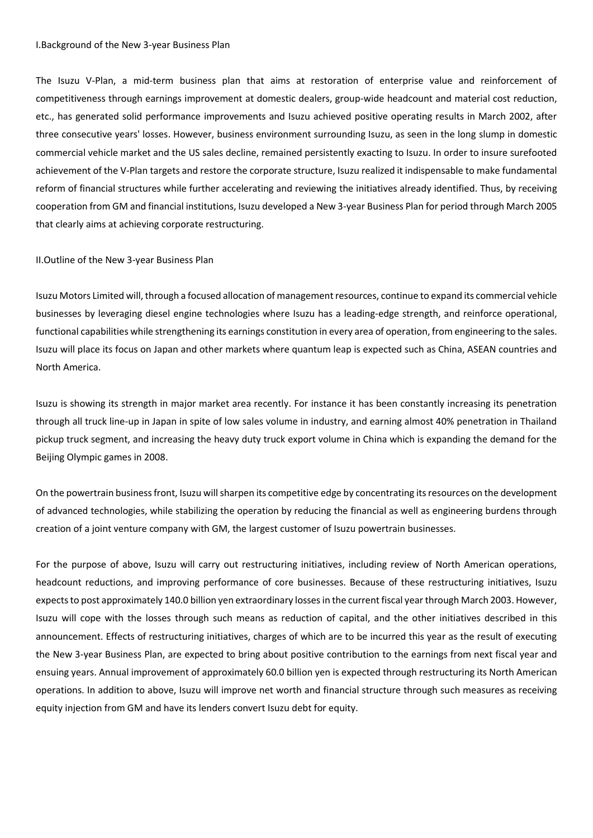#### I.Background of the New 3-year Business Plan

The Isuzu V-Plan, a mid-term business plan that aims at restoration of enterprise value and reinforcement of competitiveness through earnings improvement at domestic dealers, group-wide headcount and material cost reduction, etc., has generated solid performance improvements and Isuzu achieved positive operating results in March 2002, after three consecutive years' losses. However, business environment surrounding Isuzu, as seen in the long slump in domestic commercial vehicle market and the US sales decline, remained persistently exacting to Isuzu. In order to insure surefooted achievement of the V-Plan targets and restore the corporate structure, Isuzu realized it indispensable to make fundamental reform of financial structures while further accelerating and reviewing the initiatives already identified. Thus, by receiving cooperation from GM and financial institutions, Isuzu developed a New 3-year Business Plan for period through March 2005 that clearly aims at achieving corporate restructuring.

#### II.Outline of the New 3-year Business Plan

Isuzu Motors Limited will, through a focused allocation of management resources, continue to expand its commercial vehicle businesses by leveraging diesel engine technologies where Isuzu has a leading-edge strength, and reinforce operational, functional capabilities while strengthening its earnings constitution in every area of operation, from engineering to the sales. Isuzu will place its focus on Japan and other markets where quantum leap is expected such as China, ASEAN countries and North America.

Isuzu is showing its strength in major market area recently. For instance it has been constantly increasing its penetration through all truck line-up in Japan in spite of low sales volume in industry, and earning almost 40% penetration in Thailand pickup truck segment, and increasing the heavy duty truck export volume in China which is expanding the demand for the Beijing Olympic games in 2008.

On the powertrain business front, Isuzu will sharpen its competitive edge by concentrating its resources on the development of advanced technologies, while stabilizing the operation by reducing the financial as well as engineering burdens through creation of a joint venture company with GM, the largest customer of Isuzu powertrain businesses.

For the purpose of above, Isuzu will carry out restructuring initiatives, including review of North American operations, headcount reductions, and improving performance of core businesses. Because of these restructuring initiatives, Isuzu expects to post approximately 140.0 billion yen extraordinary losses in the current fiscal year through March 2003. However, Isuzu will cope with the losses through such means as reduction of capital, and the other initiatives described in this announcement. Effects of restructuring initiatives, charges of which are to be incurred this year as the result of executing the New 3-year Business Plan, are expected to bring about positive contribution to the earnings from next fiscal year and ensuing years. Annual improvement of approximately 60.0 billion yen is expected through restructuring its North American operations. In addition to above, Isuzu will improve net worth and financial structure through such measures as receiving equity injection from GM and have its lenders convert Isuzu debt for equity.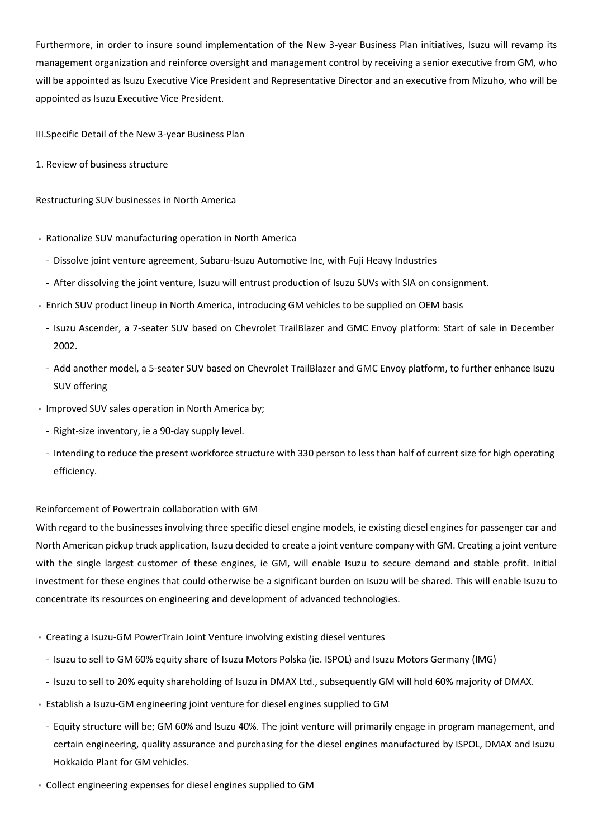Furthermore, in order to insure sound implementation of the New 3-year Business Plan initiatives, Isuzu will revamp its management organization and reinforce oversight and management control by receiving a senior executive from GM, who will be appointed as Isuzu Executive Vice President and Representative Director and an executive from Mizuho, who will be appointed as Isuzu Executive Vice President.

III.Specific Detail of the New 3-year Business Plan

1. Review of business structure

#### Restructuring SUV businesses in North America

- Rationalize SUV manufacturing operation in North America
	- Dissolve joint venture agreement, Subaru-Isuzu Automotive Inc, with Fuji Heavy Industries
	- After dissolving the joint venture, Isuzu will entrust production of Isuzu SUVs with SIA on consignment.
- Enrich SUV product lineup in North America, introducing GM vehicles to be supplied on OEM basis
	- Isuzu Ascender, a 7-seater SUV based on Chevrolet TrailBlazer and GMC Envoy platform: Start of sale in December 2002.
	- Add another model, a 5-seater SUV based on Chevrolet TrailBlazer and GMC Envoy platform, to further enhance Isuzu SUV offering
- Improved SUV sales operation in North America by;
	- Right-size inventory, ie a 90-day supply level.
	- Intending to reduce the present workforce structure with 330 person to less than half of current size for high operating efficiency.

## Reinforcement of Powertrain collaboration with GM

With regard to the businesses involving three specific diesel engine models, ie existing diesel engines for passenger car and North American pickup truck application, Isuzu decided to create a joint venture company with GM. Creating a joint venture with the single largest customer of these engines, ie GM, will enable Isuzu to secure demand and stable profit. Initial investment for these engines that could otherwise be a significant burden on Isuzu will be shared. This will enable Isuzu to concentrate its resources on engineering and development of advanced technologies.

- Creating a Isuzu-GM PowerTrain Joint Venture involving existing diesel ventures
- Isuzu to sell to GM 60% equity share of Isuzu Motors Polska (ie. ISPOL) and Isuzu Motors Germany (IMG)
- Isuzu to sell to 20% equity shareholding of Isuzu in DMAX Ltd., subsequently GM will hold 60% majority of DMAX.
- Establish a Isuzu-GM engineering joint venture for diesel engines supplied to GM
	- Equity structure will be; GM 60% and Isuzu 40%. The joint venture will primarily engage in program management, and certain engineering, quality assurance and purchasing for the diesel engines manufactured by ISPOL, DMAX and Isuzu Hokkaido Plant for GM vehicles.
- Collect engineering expenses for diesel engines supplied to GM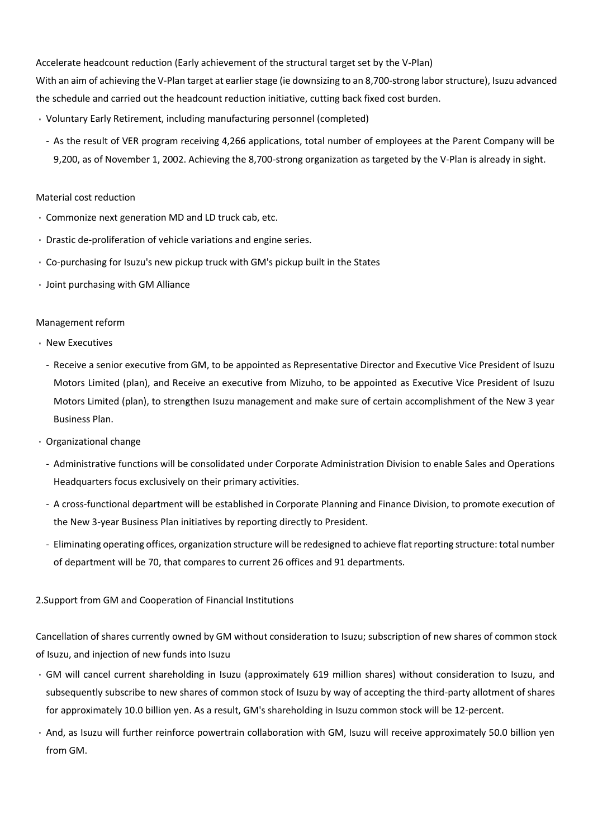Accelerate headcount reduction (Early achievement of the structural target set by the V-Plan) With an aim of achieving the V-Plan target at earlier stage (ie downsizing to an 8,700-strong labor structure), Isuzu advanced the schedule and carried out the headcount reduction initiative, cutting back fixed cost burden.

- Voluntary Early Retirement, including manufacturing personnel (completed)
	- As the result of VER program receiving 4,266 applications, total number of employees at the Parent Company will be 9,200, as of November 1, 2002. Achieving the 8,700-strong organization as targeted by the V-Plan is already in sight.

#### Material cost reduction

- Commonize next generation MD and LD truck cab, etc.
- Drastic de-proliferation of vehicle variations and engine series.
- Co-purchasing for Isuzu's new pickup truck with GM's pickup built in the States
- Joint purchasing with GM Alliance

#### Management reform

- New Executives
	- Receive a senior executive from GM, to be appointed as Representative Director and Executive Vice President of Isuzu Motors Limited (plan), and Receive an executive from Mizuho, to be appointed as Executive Vice President of Isuzu Motors Limited (plan), to strengthen Isuzu management and make sure of certain accomplishment of the New 3 year Business Plan.
- Organizational change
	- Administrative functions will be consolidated under Corporate Administration Division to enable Sales and Operations Headquarters focus exclusively on their primary activities.
	- A cross-functional department will be established in Corporate Planning and Finance Division, to promote execution of the New 3-year Business Plan initiatives by reporting directly to President.
	- Eliminating operating offices, organization structure will be redesigned to achieve flat reporting structure: total number of department will be 70, that compares to current 26 offices and 91 departments.

## 2.Support from GM and Cooperation of Financial Institutions

Cancellation of shares currently owned by GM without consideration to Isuzu; subscription of new shares of common stock of Isuzu, and injection of new funds into Isuzu

- GM will cancel current shareholding in Isuzu (approximately 619 million shares) without consideration to Isuzu, and subsequently subscribe to new shares of common stock of Isuzu by way of accepting the third-party allotment of shares for approximately 10.0 billion yen. As a result, GM's shareholding in Isuzu common stock will be 12-percent.
- And, as Isuzu will further reinforce powertrain collaboration with GM, Isuzu will receive approximately 50.0 billion yen from GM.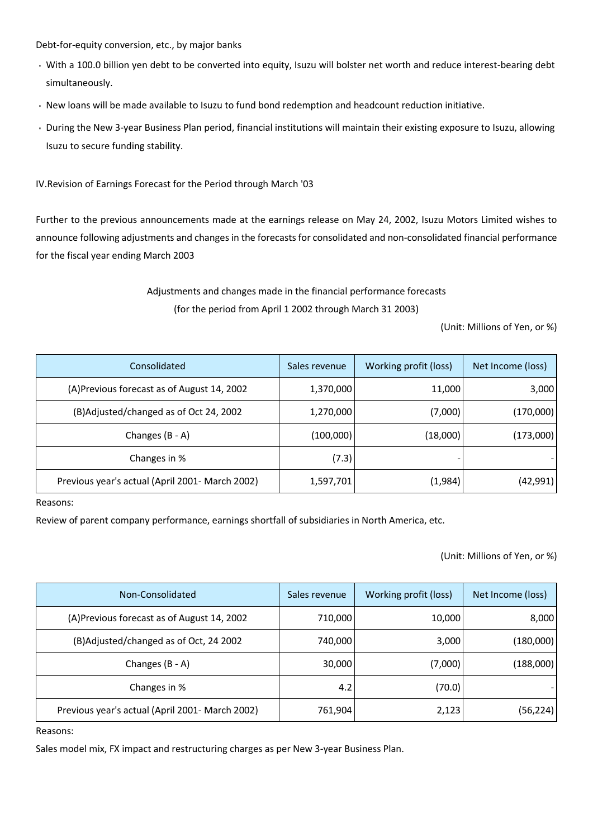Debt-for-equity conversion, etc., by major banks

- With a 100.0 billion yen debt to be converted into equity, Isuzu will bolster net worth and reduce interest-bearing debt simultaneously.
- New loans will be made available to Isuzu to fund bond redemption and headcount reduction initiative.
- During the New 3-year Business Plan period, financial institutions will maintain their existing exposure to Isuzu, allowing Isuzu to secure funding stability.

IV.Revision of Earnings Forecast for the Period through March '03

Further to the previous announcements made at the earnings release on May 24, 2002, Isuzu Motors Limited wishes to announce following adjustments and changes in the forecasts for consolidated and non-consolidated financial performance for the fiscal year ending March 2003

# Adjustments and changes made in the financial performance forecasts (for the period from April 1 2002 through March 31 2003)

(Unit: Millions of Yen, or %)

| Consolidated                                    | Sales revenue | Working profit (loss) | Net Income (loss) |
|-------------------------------------------------|---------------|-----------------------|-------------------|
| (A)Previous forecast as of August 14, 2002      | 1,370,000     | 11,000                | 3,000             |
| (B)Adjusted/changed as of Oct 24, 2002          | 1,270,000     | (7,000)               | (170,000)         |
| Changes (B - A)                                 | (100,000)     | (18,000)              | (173,000)         |
| Changes in %                                    | (7.3)         |                       |                   |
| Previous year's actual (April 2001- March 2002) | 1,597,701     | (1,984)               | (42,991)          |

Reasons:

Review of parent company performance, earnings shortfall of subsidiaries in North America, etc.

(Unit: Millions of Yen, or %)

| Non-Consolidated                                | Sales revenue | Working profit (loss) | Net Income (loss) |
|-------------------------------------------------|---------------|-----------------------|-------------------|
| (A) Previous forecast as of August 14, 2002     | 710,000       | 10,000                | 8,000             |
| (B)Adjusted/changed as of Oct, 24 2002          | 740,000       | 3,000                 | (180,000)         |
| Changes (B - A)                                 | 30,000        | (7,000)               | (188,000)         |
| Changes in %                                    | 4.2           | (70.0)                |                   |
| Previous year's actual (April 2001- March 2002) | 761,904       | 2,123                 | (56,224)          |

Reasons:

Sales model mix, FX impact and restructuring charges as per New 3-year Business Plan.